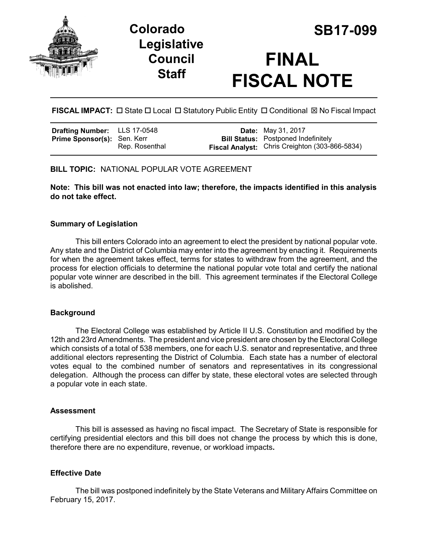

# **Colorado SB17-099 Legislative Council Staff**

# **FINAL FISCAL NOTE**

**FISCAL IMPACT:**  $\Box$  State  $\Box$  Local  $\Box$  Statutory Public Entity  $\Box$  Conditional  $\boxtimes$  No Fiscal Impact

| <b>Drafting Number:</b> LLS 17-0548 |                | <b>Date:</b> May 31, 2017                             |
|-------------------------------------|----------------|-------------------------------------------------------|
| <b>Prime Sponsor(s): Sen. Kerr</b>  |                | <b>Bill Status:</b> Postponed Indefinitely            |
|                                     | Rep. Rosenthal | <b>Fiscal Analyst:</b> Chris Creighton (303-866-5834) |

#### **BILL TOPIC:** NATIONAL POPULAR VOTE AGREEMENT

**Note: This bill was not enacted into law; therefore, the impacts identified in this analysis do not take effect.**

#### **Summary of Legislation**

This bill enters Colorado into an agreement to elect the president by national popular vote. Any state and the District of Columbia may enter into the agreement by enacting it. Requirements for when the agreement takes effect, terms for states to withdraw from the agreement, and the process for election officials to determine the national popular vote total and certify the national popular vote winner are described in the bill. This agreement terminates if the Electoral College is abolished.

## **Background**

The Electoral College was established by Article II U.S. Constitution and modified by the 12th and 23rd Amendments. The president and vice president are chosen by the Electoral College which consists of a total of 538 members, one for each U.S. senator and representative, and three additional electors representing the District of Columbia. Each state has a number of electoral votes equal to the combined number of senators and representatives in its congressional delegation. Although the process can differ by state, these electoral votes are selected through a popular vote in each state.

#### **Assessment**

This bill is assessed as having no fiscal impact. The Secretary of State is responsible for certifying presidential electors and this bill does not change the process by which this is done, therefore there are no expenditure, revenue, or workload impacts**.** 

## **Effective Date**

The bill was postponed indefinitely by the State Veterans and Military Affairs Committee on February 15, 2017.